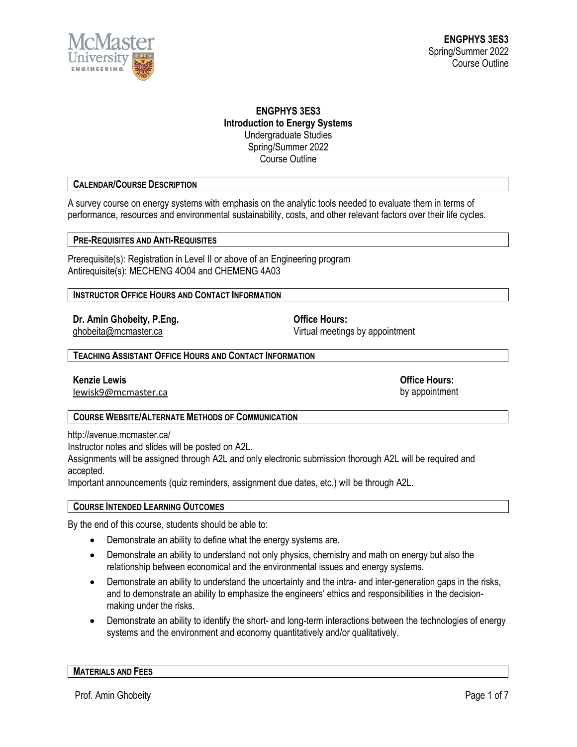

# **ENGPHYS 3ES3 Introduction to Energy Systems** Undergraduate Studies Spring/Summer 2022 Course Outline

# **CALENDAR/COURSE DESCRIPTION**

A survey course on energy systems with emphasis on the analytic tools needed to evaluate them in terms of performance, resources and environmental sustainability, costs, and other relevant factors over their life cycles.

# **PRE-REQUISITES AND ANTI-REQUISITES**

Prerequisite(s): Registration in Level II or above of an Engineering program Antirequisite(s): MECHENG 4O04 and CHEMENG 4A03

**INSTRUCTOR OFFICE HOURS AND CONTACT INFORMATION**

**Dr. Amin Ghobeity, P.Eng. Community Office Hours:** 

[ghobeita@mcmaster.ca](mailto:ghobeita@mcmaster.ca) Virtual meetings by appointment

**TEACHING ASSISTANT OFFICE HOURS AND CONTACT INFORMATION**

**Kenzie Lewis Office Hours:**

[lewisk9@mcmaster.ca](mailto:lewisk9@mcmaster.ca) by appointment

# **COURSE WEBSITE/ALTERNATE METHODS OF COMMUNICATION**

<http://avenue.mcmaster.ca/>

Instructor notes and slides will be posted on A2L.

Assignments will be assigned through A2L and only electronic submission thorough A2L will be required and accepted.

Important announcements (quiz reminders, assignment due dates, etc.) will be through A2L.

### **COURSE INTENDED LEARNING OUTCOMES**

By the end of this course, students should be able to:

- Demonstrate an ability to define what the energy systems are.
- Demonstrate an ability to understand not only physics, chemistry and math on energy but also the relationship between economical and the environmental issues and energy systems.
- Demonstrate an ability to understand the uncertainty and the intra- and inter-generation gaps in the risks, and to demonstrate an ability to emphasize the engineers' ethics and responsibilities in the decisionmaking under the risks.
- Demonstrate an ability to identify the short- and long-term interactions between the technologies of energy systems and the environment and economy quantitatively and/or qualitatively.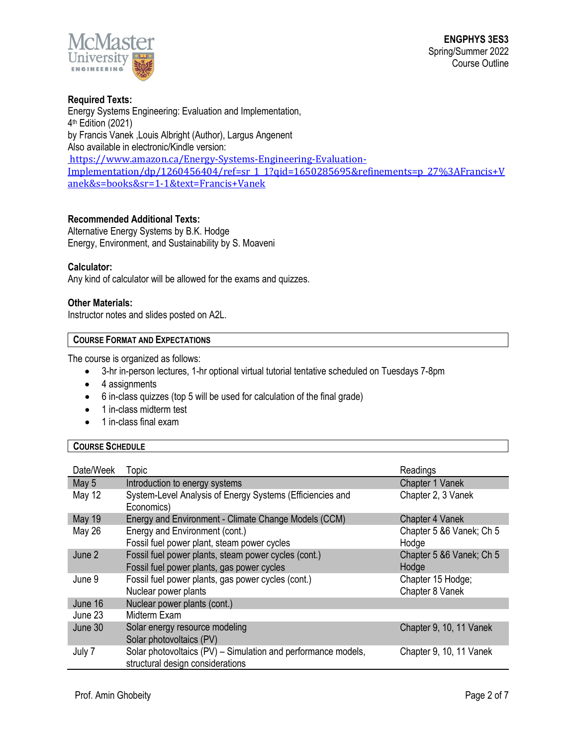

# **Required Texts:** Energy Systems Engineering: Evaluation and Implementation, 4th Edition (2021) by Francis Vanek ,Louis Albright (Author), Largus Angenent Also available in electronic/Kindle version: [https://www.amazon.ca/Energy-Systems-Engineering-Evaluation-](https://www.amazon.ca/Energy-Systems-Engineering-Evaluation-Implementation/dp/1260456404/ref=sr_1_1?qid=1650285695&refinements=p_27%3AFrancis+Vanek&s=books&sr=1-1&text=Francis+Vanek)[Implementation/dp/1260456404/ref=sr\\_1\\_1?qid=1650285695&refinements=p\\_27%3AFrancis+V](https://www.amazon.ca/Energy-Systems-Engineering-Evaluation-Implementation/dp/1260456404/ref=sr_1_1?qid=1650285695&refinements=p_27%3AFrancis+Vanek&s=books&sr=1-1&text=Francis+Vanek) [anek&s=books&sr=1-1&text=Francis+Vanek](https://www.amazon.ca/Energy-Systems-Engineering-Evaluation-Implementation/dp/1260456404/ref=sr_1_1?qid=1650285695&refinements=p_27%3AFrancis+Vanek&s=books&sr=1-1&text=Francis+Vanek)

# **Recommended Additional Texts:**

Alternative Energy Systems by B.K. Hodge Energy, Environment, and Sustainability by S. Moaveni

# **Calculator:**

Any kind of calculator will be allowed for the exams and quizzes.

### **Other Materials:**

Instructor notes and slides posted on A2L.

### **COURSE FORMAT AND EXPECTATIONS**

The course is organized as follows:

- 3-hr in-person lectures, 1-hr optional virtual tutorial tentative scheduled on Tuesdays 7-8pm
- 4 assignments
- 6 in-class quizzes (top 5 will be used for calculation of the final grade)
- 1 in-class midterm test
- 1 in-class final exam

## **COURSE SCHEDULE**

| Date/Week     | <b>Topic</b>                                                                                       | Readings                             |
|---------------|----------------------------------------------------------------------------------------------------|--------------------------------------|
| May 5         | Introduction to energy systems                                                                     | Chapter 1 Vanek                      |
| May 12        | System-Level Analysis of Energy Systems (Efficiencies and<br>Economics)                            | Chapter 2, 3 Vanek                   |
| <b>May 19</b> | Energy and Environment - Climate Change Models (CCM)                                               | Chapter 4 Vanek                      |
| May 26        | Energy and Environment (cont.)<br>Fossil fuel power plant, steam power cycles                      | Chapter 5 & 6 Vanek; Ch 5<br>Hodge   |
| June 2        | Fossil fuel power plants, steam power cycles (cont.)<br>Fossil fuel power plants, gas power cycles | Chapter 5 & 6 Vanek; Ch 5<br>Hodge   |
| June 9        | Fossil fuel power plants, gas power cycles (cont.)<br>Nuclear power plants                         | Chapter 15 Hodge;<br>Chapter 8 Vanek |
| June 16       | Nuclear power plants (cont.)                                                                       |                                      |
| June 23       | Midterm Exam                                                                                       |                                      |
| June 30       | Solar energy resource modeling<br>Solar photovoltaics (PV)                                         | Chapter 9, 10, 11 Vanek              |
| July 7        | Solar photovoltaics (PV) - Simulation and performance models,<br>structural design considerations  | Chapter 9, 10, 11 Vanek              |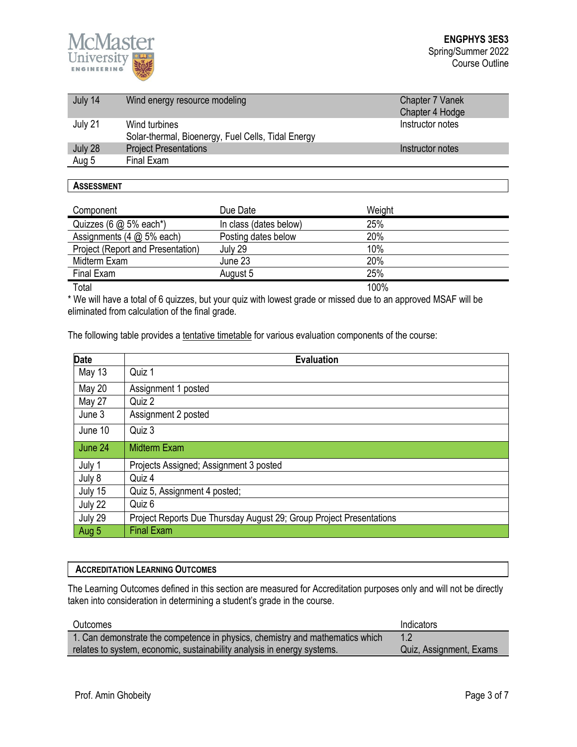

| July 14 | Wind energy resource modeling                                       | Chapter 7 Vanek<br>Chapter 4 Hodge |
|---------|---------------------------------------------------------------------|------------------------------------|
| July 21 | Wind turbines<br>Solar-thermal, Bioenergy, Fuel Cells, Tidal Energy | Instructor notes                   |
| July 28 | <b>Project Presentations</b>                                        | Instructor notes                   |
| Aug 5   | Final Exam                                                          |                                    |

### **ASSESSMENT**

| Component                             | Due Date               | Weight |
|---------------------------------------|------------------------|--------|
| Quizzes (6 @ 5% each*)                | In class (dates below) | 25%    |
| Assignments $(4 \text{ @ } 5\%$ each) | Posting dates below    | 20%    |
| Project (Report and Presentation)     | July 29                | 10%    |
| Midterm Exam                          | June 23                | 20%    |
| Final Exam                            | August 5               | 25%    |
| Total                                 |                        | 100%   |

\* We will have a total of 6 quizzes, but your quiz with lowest grade or missed due to an approved MSAF will be eliminated from calculation of the final grade.

The following table provides a tentative timetable for various evaluation components of the course:

| <b>Date</b>   | <b>Evaluation</b>                                                   |
|---------------|---------------------------------------------------------------------|
| May 13        | Quiz 1                                                              |
| <b>May 20</b> | Assignment 1 posted                                                 |
| <b>May 27</b> | Quiz 2                                                              |
| June 3        | Assignment 2 posted                                                 |
| June 10       | Quiz 3                                                              |
| June 24       | <b>Midterm Exam</b>                                                 |
| July 1        | Projects Assigned; Assignment 3 posted                              |
| July 8        | Quiz 4                                                              |
| July 15       | Quiz 5, Assignment 4 posted;                                        |
| July 22       | Quiz 6                                                              |
| July 29       | Project Reports Due Thursday August 29; Group Project Presentations |
| Aug 5         | <b>Final Exam</b>                                                   |

# **ACCREDITATION LEARNING OUTCOMES**

The Learning Outcomes defined in this section are measured for Accreditation purposes only and will not be directly taken into consideration in determining a student's grade in the course.

| Outcomes                                                                      | Indicators              |
|-------------------------------------------------------------------------------|-------------------------|
| 1. Can demonstrate the competence in physics, chemistry and mathematics which |                         |
| relates to system, economic, sustainability analysis in energy systems.       | Quiz, Assignment, Exams |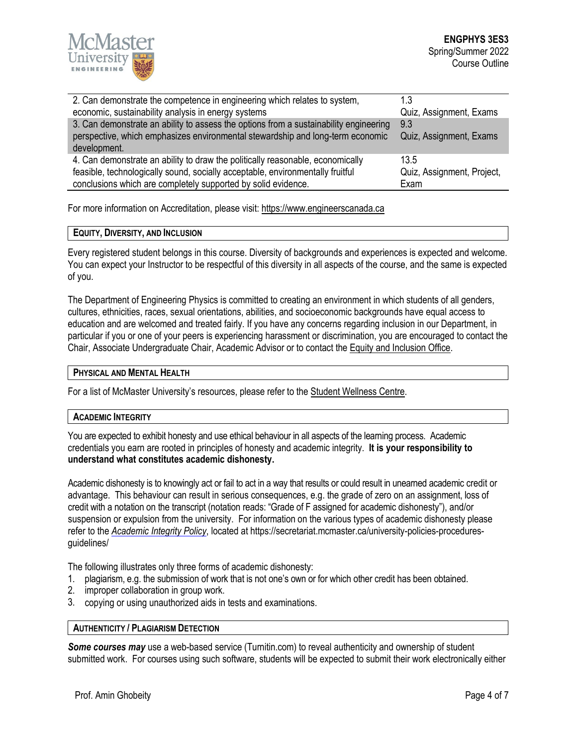

| 2. Can demonstrate the competence in engineering which relates to system,             | 1.3                        |
|---------------------------------------------------------------------------------------|----------------------------|
| economic, sustainability analysis in energy systems                                   | Quiz, Assignment, Exams    |
| 3. Can demonstrate an ability to assess the options from a sustainability engineering | 9.3                        |
| perspective, which emphasizes environmental stewardship and long-term economic        | Quiz, Assignment, Exams    |
| development.                                                                          |                            |
| 4. Can demonstrate an ability to draw the politically reasonable, economically        | 13.5                       |
| feasible, technologically sound, socially acceptable, environmentally fruitful        | Quiz, Assignment, Project, |
| conclusions which are completely supported by solid evidence.                         | Exam                       |
|                                                                                       |                            |

For more information on Accreditation, please visit[: https://www.engineerscanada.ca](https://www.engineerscanada.ca/)

## **EQUITY, DIVERSITY, AND INCLUSION**

Every registered student belongs in this course. Diversity of backgrounds and experiences is expected and welcome. You can expect your Instructor to be respectful of this diversity in all aspects of the course, and the same is expected of you.

The Department of Engineering Physics is committed to creating an environment in which students of all genders, cultures, ethnicities, races, sexual orientations, abilities, and socioeconomic backgrounds have equal access to education and are welcomed and treated fairly. If you have any concerns regarding inclusion in our Department, in particular if you or one of your peers is experiencing harassment or discrimination, you are encouraged to contact the Chair, Associate Undergraduate Chair, Academic Advisor or to contact the Equity and [Inclusion](https://equity.mcmaster.ca/) Office.

# **PHYSICAL AND MENTAL HEALTH**

For a list of McMaster University's resources, please refer to th[e Student Wellness Centre.](https://wellness.mcmaster.ca/)

### **ACADEMIC INTEGRITY**

You are expected to exhibit honesty and use ethical behaviour in all aspects of the learning process. Academic credentials you earn are rooted in principles of honesty and academic integrity. **It is your responsibility to understand what constitutes academic dishonesty.**

Academic dishonesty is to knowingly act or fail to act in a way that results or could result in unearned academic credit or advantage. This behaviour can result in serious consequences, e.g. the grade of zero on an assignment, loss of credit with a notation on the transcript (notation reads: "Grade of F assigned for academic dishonesty"), and/or suspension or expulsion from the university. For information on the various types of academic dishonesty please refer to the *[Academic Integrity Policy](https://secretariat.mcmaster.ca/app/uploads/Academic-Integrity-Policy-1-1.pdf)*, located at https://secretariat.mcmaster.ca/university-policies-proceduresguidelines/

The following illustrates only three forms of academic dishonesty:

- 1. plagiarism, e.g. the submission of work that is not one's own or for which other credit has been obtained.
- 2. improper collaboration in group work.
- 3. copying or using unauthorized aids in tests and examinations.

## **AUTHENTICITY / PLAGIARISM DETECTION**

*Some courses may* use a web-based service (Turnitin.com) to reveal authenticity and ownership of student submitted work. For courses using such software, students will be expected to submit their work electronically either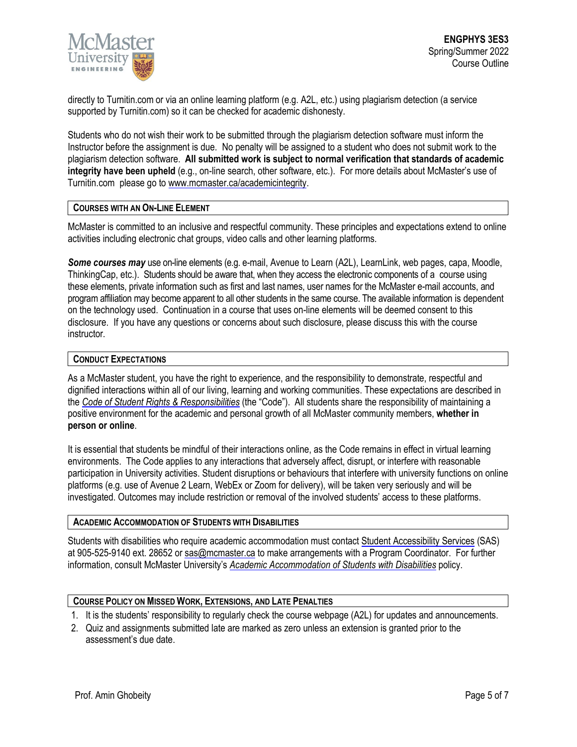

directly to Turnitin.com or via an online learning platform (e.g. A2L, etc.) using plagiarism detection (a service supported by Turnitin.com) so it can be checked for academic dishonesty.

Students who do not wish their work to be submitted through the plagiarism detection software must inform the Instructor before the assignment is due. No penalty will be assigned to a student who does not submit work to the plagiarism detection software. **All submitted work is subject to normal verification that standards of academic integrity have been upheld** (e.g., on-line search, other software, etc.). For more details about McMaster's use of Turnitin.com please go t[o www.mcmaster.ca/academicintegrity.](http://www.mcmaster.ca/academicintegrity)

# **COURSES WITH AN ON-LINE ELEMENT**

McMaster is committed to an inclusive and respectful community. These principles and expectations extend to online activities including electronic chat groups, video calls and other learning platforms.

*Some courses may* use on-line elements (e.g. e-mail, Avenue to Learn (A2L), LearnLink, web pages, capa, Moodle, ThinkingCap, etc.). Students should be aware that, when they access the electronic components of a course using these elements, private information such as first and last names, user names for the McMaster e-mail accounts, and program affiliation may become apparent to all other students in the same course. The available information is dependent on the technology used. Continuation in a course that uses on-line elements will be deemed consent to this disclosure. If you have any questions or concerns about such disclosure, please discuss this with the course **instructor** 

# **CONDUCT EXPECTATIONS**

As a McMaster student, you have the right to experience, and the responsibility to demonstrate, respectful and dignified interactions within all of our living, learning and working communities. These expectations are described in the *Code of Student Rights & [Responsibilities](https://secretariat.mcmaster.ca/app/uploads/Code-of-Student-Rights-and-Responsibilities.pdf)* (the "Code"). All students share the responsibility of maintaining a positive environment for the academic and personal growth of all McMaster community members, **whether in person or online**.

It is essential that students be mindful of their interactions online, as the Code remains in effect in virtual learning environments. The Code applies to any interactions that adversely affect, disrupt, or interfere with reasonable participation in University activities. Student disruptions or behaviours that interfere with university functions on online platforms (e.g. use of Avenue 2 Learn, WebEx or Zoom for delivery), will be taken very seriously and will be investigated. Outcomes may include restriction or removal of the involved students' access to these platforms.

### **ACADEMIC ACCOMMODATION OF STUDENTS WITH DISABILITIES**

Students with disabilities who require academic accommodation must contact Student [Accessibility Services](https://sas.mcmaster.ca/) (SAS) at 905-525-9140 ext. 28652 or [sas@mcmaster.ca](mailto:sas@mcmaster.ca) to make arrangements with a Program Coordinator. For further information, consult McMaster University's *[Academic Accommodation](https://secretariat.mcmaster.ca/app/uploads/Academic-Accommodations-Policy.pdf) of Students with Disabilities* policy.

# **COURSE POLICY ON MISSED WORK, EXTENSIONS, AND LATE PENALTIES**

- 1. It is the students' responsibility to regularly check the course webpage (A2L) for updates and announcements.
- 2. Quiz and assignments submitted late are marked as zero unless an extension is granted prior to the assessment's due date.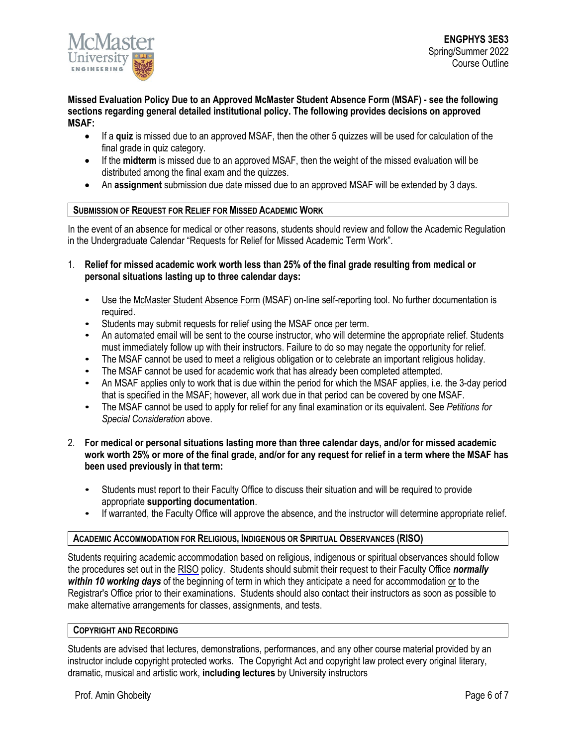

**Missed Evaluation Policy Due to an Approved McMaster Student Absence Form (MSAF) - see the following sections regarding general detailed institutional policy. The following provides decisions on approved MSAF:** 

- If a **quiz** is missed due to an approved MSAF, then the other 5 quizzes will be used for calculation of the final grade in quiz category.
- If the **midterm** is missed due to an approved MSAF, then the weight of the missed evaluation will be distributed among the final exam and the quizzes.
- An **assignment** submission due date missed due to an approved MSAF will be extended by 3 days.

# **SUBMISSION OF REQUEST FOR RELIEF FOR MISSED ACADEMIC WORK**

In the event of an absence for medical or other reasons, students should review and follow the Academic Regulation in the Undergraduate Calendar "Requests for Relief for Missed Academic Term Work".

- 1. **Relief for missed academic work worth less than 25% of the final grade resulting from medical or personal situations lasting up to three calendar days:**
	- Use th[e McMaster Student Absence Form](http://mcmaster.ca/msaf/) (MSAF) on-line self-reporting tool. No further documentation is required.
	- Students may submit requests for relief using the MSAF once per term.
	- An automated email will be sent to the course instructor, who will determine the appropriate relief. Students must immediately follow up with their instructors. Failure to do so may negate the opportunity for relief.
	- The MSAF cannot be used to meet a religious obligation or to celebrate an important religious holiday.
	- The MSAF cannot be used for academic work that has already been completed attempted.
	- An MSAF applies only to work that is due within the period for which the MSAF applies, i.e. the 3-day period that is specified in the MSAF; however, all work due in that period can be covered by one MSAF.
	- The MSAF cannot be used to apply for relief for any final examination or its equivalent. See *Petitions for Special Consideration* above.
- 2. **For medical or personal situations lasting more than three calendar days, and/or for missed academic work worth 25% or more of the final grade, and/or for any request for relief in a term where the MSAF has been used previously in that term:**
	- Students must report to their Faculty Office to discuss their situation and will be required to provide appropriate **supporting documentation**.
	- If warranted, the Faculty Office will approve the absence, and the instructor will determine appropriate relief.

### **ACADEMIC ACCOMMODATION FOR RELIGIOUS, INDIGENOUS OR SPIRITUAL OBSERVANCES (RISO)**

Students requiring academic accommodation based on religious, indigenous or spiritual observances should follow the procedures set out in the [RISO](https://secretariat.mcmaster.ca/app/uploads/2019/02/Academic-Accommodation-for-Religious-Indigenous-and-Spiritual-Observances-Policy-on.pdf) policy. Students should submit their request to their Faculty Office *normally within 10 working days* of the beginning of term in which they anticipate a need for accommodation or to the Registrar's Office prior to their examinations. Students should also contact their instructors as soon as possible to make alternative arrangements for classes, assignments, and tests.

### **COPYRIGHT AND RECORDING**

Students are advised that lectures, demonstrations, performances, and any other course material provided by an instructor include copyright protected works. The Copyright Act and copyright law protect every original literary, dramatic, musical and artistic work, **including lectures** by University instructors